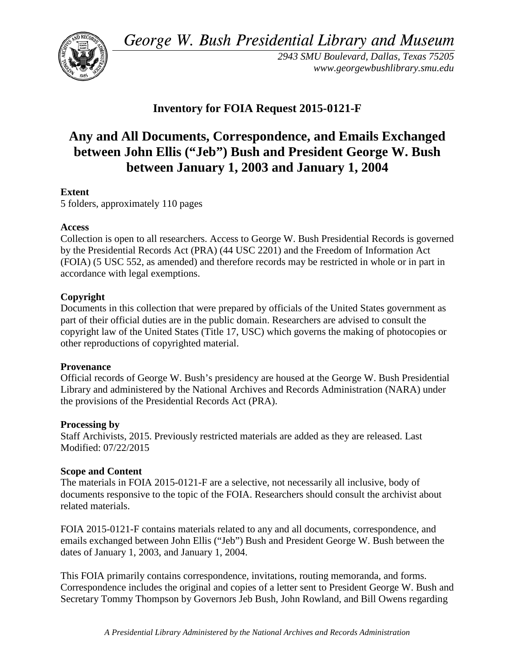*George W. Bush Presidential Library and Museum* 



*2943 SMU Boulevard, Dallas, Texas 75205 <www.georgewbushlibrary.smu.edu>*

# **Inventory for FOIA Request 2015-0121-F**

# **between January 1, 2003 and January 1, 2004 Any and All Documents, Correspondence, and Emails Exchanged between John Ellis ("Jeb") Bush and President George W. Bush**

## **Extent**

5 folders, approximately 110 pages

#### **Access**

 by the Presidential Records Act (PRA) (44 USC 2201) and the Freedom of Information Act Collection is open to all researchers. Access to George W. Bush Presidential Records is governed (FOIA) (5 USC 552, as amended) and therefore records may be restricted in whole or in part in accordance with legal exemptions.

## **Copyright**

 Documents in this collection that were prepared by officials of the United States government as part of their official duties are in the public domain. Researchers are advised to consult the copyright law of the United States (Title 17, USC) which governs the making of photocopies or other reproductions of copyrighted material.

#### **Provenance**

 Official records of George W. Bush's presidency are housed at the George W. Bush Presidential Library and administered by the National Archives and Records Administration (NARA) under the provisions of the Presidential Records Act (PRA).

#### **Processing by**

 Modified: 07/22/2015 Staff Archivists, 2015. Previously restricted materials are added as they are released. Last

#### **Scope and Content**

The materials in FOIA 2015-0121-F are a selective, not necessarily all inclusive, body of documents responsive to the topic of the FOIA. Researchers should consult the archivist about related materials.

FOIA 2015-0121-F contains materials related to any and all documents, correspondence, and emails exchanged between John Ellis ("Jeb") Bush and President George W. Bush between the dates of January 1, 2003, and January 1, 2004.

This FOIA primarily contains correspondence, invitations, routing memoranda, and forms. Correspondence includes the original and copies of a letter sent to President George W. Bush and Secretary Tommy Thompson by Governors Jeb Bush, John Rowland, and Bill Owens regarding